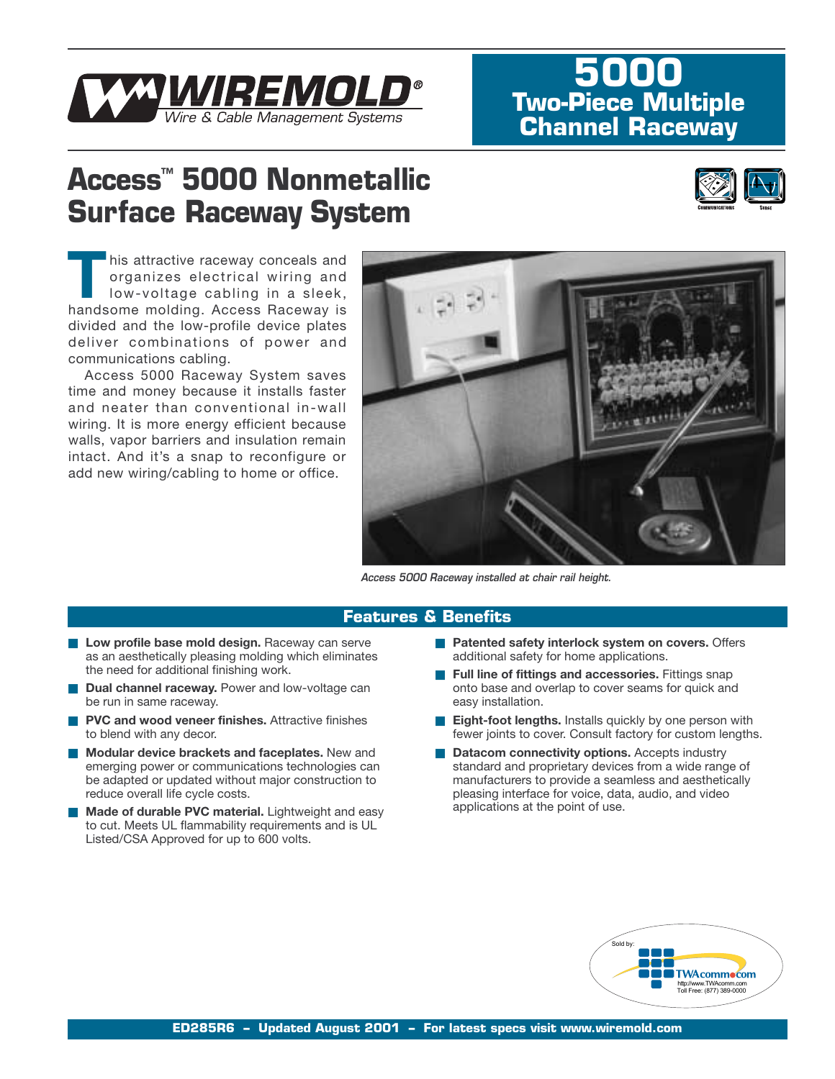

## **5000 Two-Piece Multiple Channel Raceway**

# **Access™ 5000 Nonmetallic Surface Raceway System**



his attractive raceway conceals and organizes electrical wiring and low-voltage cabling in a sleek, handsome molding. Access Raceway is divided and the low-profile device plates deliver combinations of power and communications cabling.

Access 5000 Raceway System saves time and money because it installs faster and neater than conventional in-wall wiring. It is more energy efficient because walls, vapor barriers and insulation remain intact. And it's a snap to reconfigure or add new wiring/cabling to home or office.



*Access 5000 Raceway installed at chair rail height.*

### **Features & Benefits**

- Low profile base mold design. Raceway can serve as an aesthetically pleasing molding which eliminates the need for additional finishing work.
- **Dual channel raceway.** Power and low-voltage can be run in same raceway.
- **PVC and wood veneer finishes.** Attractive finishes to blend with any decor.
- **Modular device brackets and faceplates.** New and emerging power or communications technologies can be adapted or updated without major construction to reduce overall life cycle costs.
- **Made of durable PVC material.** Lightweight and easy to cut. Meets UL flammability requirements and is UL Listed/CSA Approved for up to 600 volts.
- **Patented safety interlock system on covers. Offers** additional safety for home applications.
- **Full line of fittings and accessories.** Fittings snap onto base and overlap to cover seams for quick and easy installation.
- **Eight-foot lengths.** Installs quickly by one person with fewer joints to cover. Consult factory for custom lengths.
- **Datacom connectivity options.** Accepts industry standard and proprietary devices from a wide range of manufacturers to provide a seamless and aesthetically pleasing interface for voice, data, audio, and video applications at the point of use.

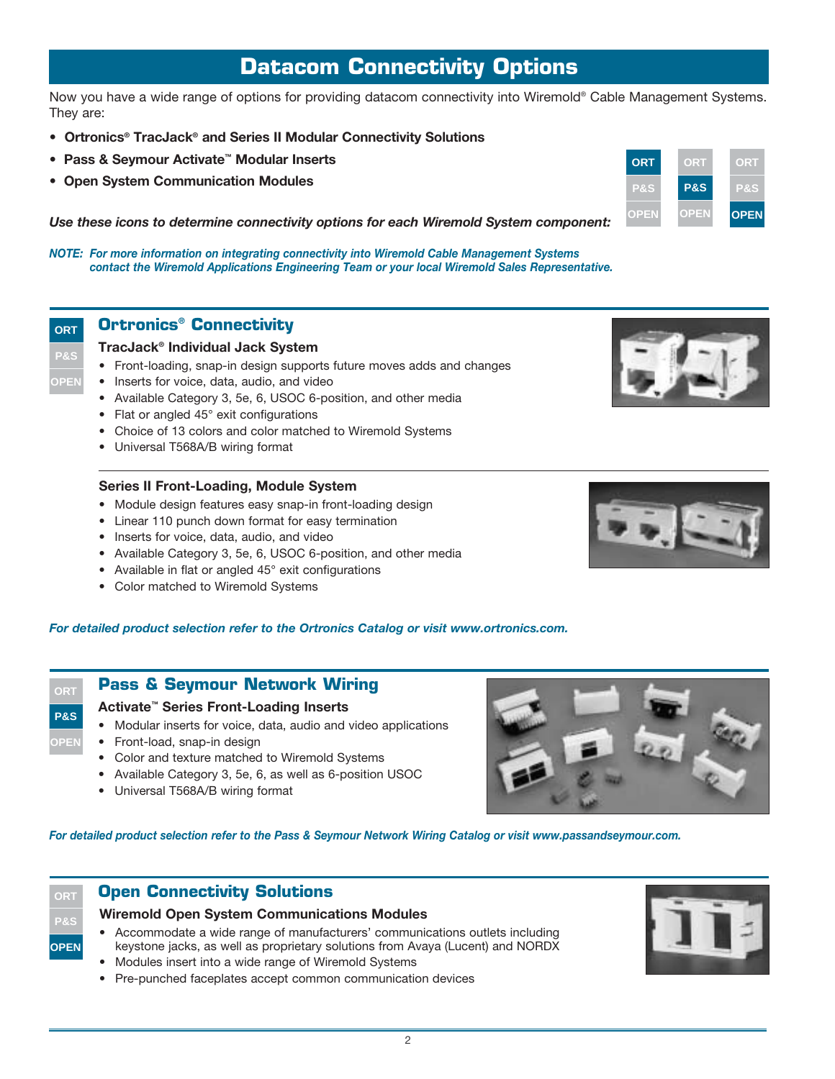## **Datacom Connectivity Options**

Now you have a wide range of options for providing datacom connectivity into Wiremold® Cable Management Systems. They are:

- **Ortronics® TracJack® and Series II Modular Connectivity Solutions**
- **Pass & Seymour Activate™ Modular Inserts**
- **Open System Communication Modules**

*Use these icons to determine connectivity options for each Wiremold System component:*

*NOTE: For more information on integrating connectivity into Wiremold Cable Management Systems contact the Wiremold Applications Engineering Team or your local Wiremold Sales Representative.*

## **Ortronics® Connectivity**

#### **TracJack® Individual Jack System**

- Front-loading, snap-in design supports future moves adds and changes
- Inserts for voice, data, audio, and video
- Available Category 3, 5e, 6, USOC 6-position, and other media
- Flat or angled 45° exit configurations
- Choice of 13 colors and color matched to Wiremold Systems
- Universal T568A/B wiring format

#### **Series II Front-Loading, Module System**

- Module design features easy snap-in front-loading design
- Linear 110 punch down format for easy termination
- Inserts for voice, data, audio, and video
- Available Category 3, 5e, 6, USOC 6-position, and other media
- Available in flat or angled 45° exit configurations
- Color matched to Wiremold Systems

#### *For detailed product selection refer to the Ortronics Catalog or visit www.ortronics.com.*

## **Pass & Seymour Network Wiring**

#### **Activate™ Series Front-Loading Inserts**

- Modular inserts for voice, data, audio and video applications
- Front-load, snap-in design
- Color and texture matched to Wiremold Systems
- Available Category 3, 5e, 6, as well as 6-position USOC
- Universal T568A/B wiring format



*For detailed product selection refer to the Pass & Seymour Network Wiring Catalog or visit www.passandseymour.com.*

## **ORT P&S**

**OPEN**

**ORT P&S OPEN**

**ORT P&S OPEN**

## **Open Connectivity Solutions**

### **Wiremold Open System Communications Modules**

- Accommodate a wide range of manufacturers' communications outlets including keystone jacks, as well as proprietary solutions from Avaya (Lucent) and NORDX
- Modules insert into a wide range of Wiremold Systems
- Pre-punched faceplates accept common communication devices



| <b>OPEN</b> | <b>OPEN</b> | <b>OPEN</b> |
|-------------|-------------|-------------|
|             |             |             |
|             |             |             |



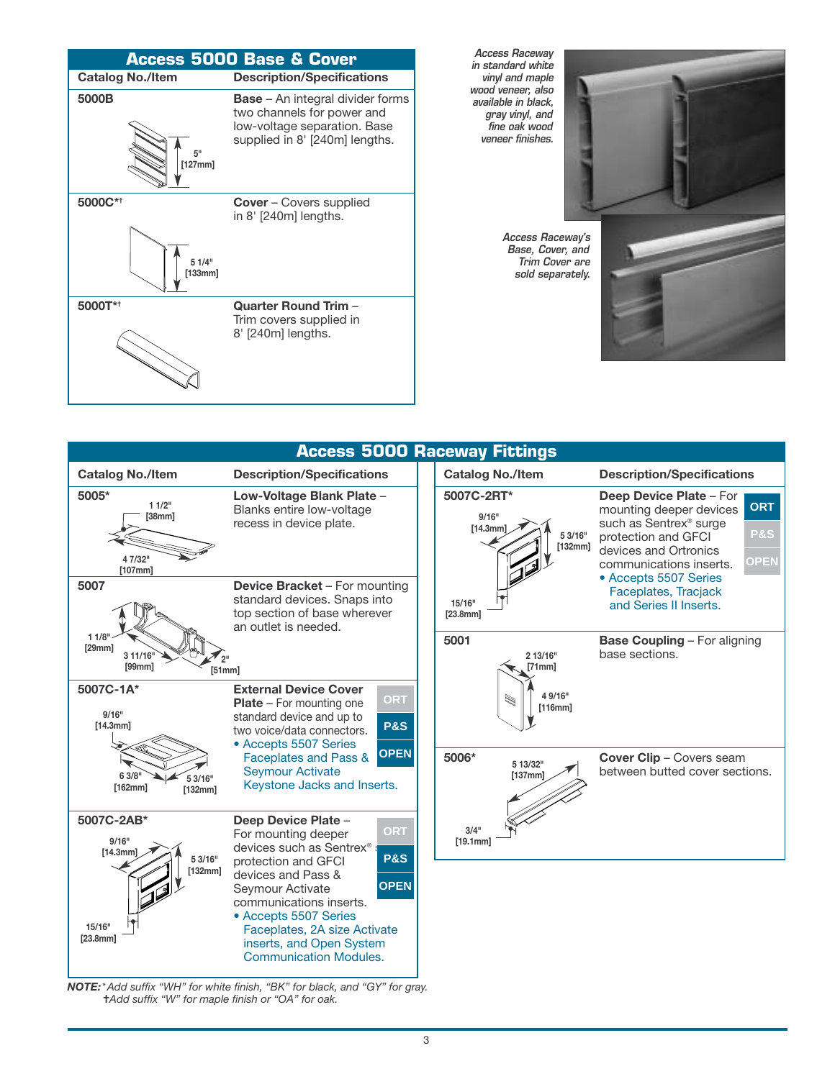

|                                                                 |                                                                                                                                                                                                                                                                     |  | <b>Access 5000 Raceway Fittings</b>                   |                                                                                                                                                                                                                    |  |  |
|-----------------------------------------------------------------|---------------------------------------------------------------------------------------------------------------------------------------------------------------------------------------------------------------------------------------------------------------------|--|-------------------------------------------------------|--------------------------------------------------------------------------------------------------------------------------------------------------------------------------------------------------------------------|--|--|
| <b>Catalog No./Item</b>                                         | <b>Description/Specifications</b>                                                                                                                                                                                                                                   |  | <b>Catalog No./Item</b>                               | <b>Description/Specifications</b>                                                                                                                                                                                  |  |  |
| 5005*<br>11/2"<br>[38mm]<br>4 7/32"<br>[107mm]                  | Low-Voltage Blank Plate -<br>Blanks entire low-voltage<br>recess in device plate.<br><b>Device Bracket - For mounting</b><br>standard devices. Snaps into<br>top section of base wherever<br>an outlet is needed.                                                   |  | 5007C-2RT*<br>9/16"<br>[14.3mm]<br>5 3/16"<br>[132mm] | Deep Device Plate - For<br><b>ORT</b><br>mounting deeper devices<br>such as Sentrex <sup>®</sup> surge<br><b>P&amp;S</b><br>protection and GFCI<br>devices and Ortronics<br><b>OPEN</b><br>communications inserts. |  |  |
| 5007                                                            |                                                                                                                                                                                                                                                                     |  | 15/16"<br>[23.8mm]                                    | • Accepts 5507 Series<br>Faceplates, Tracjack<br>and Series II Inserts.                                                                                                                                            |  |  |
| 11/8"<br>[29mm]<br>3 11/16"<br>[99mm]<br>[51mm]                 |                                                                                                                                                                                                                                                                     |  | 5001<br>2 13/16"<br>[71mm]                            | <b>Base Coupling - For aligning</b><br>base sections.                                                                                                                                                              |  |  |
| 5007C-1A*<br>9/16"<br>[14.3mm]                                  | <b>External Device Cover</b><br>ORT<br><b>Plate</b> - For mounting one<br>standard device and up to<br><b>P&amp;S</b><br>two voice/data connectors.<br>• Accepts 5507 Series                                                                                        |  | 4 9/16"<br>W<br>[116mm]                               |                                                                                                                                                                                                                    |  |  |
| 6 3/8"<br>53/16"<br>[162mm]<br>[132mm]                          | <b>OPEN</b><br>Faceplates and Pass &<br><b>Seymour Activate</b><br>Keystone Jacks and Inserts.                                                                                                                                                                      |  | 5006*<br>5 13/32"<br>[137mm]                          | <b>Cover Clip - Covers seam</b><br>between butted cover sections.                                                                                                                                                  |  |  |
| 5007C-2AB*<br>9/16"<br>[14.3mm]<br>5 3/16"<br>[132mm]<br>15/16" | Deep Device Plate -<br>ORT<br>For mounting deeper<br>devices such as Sentrex®<br><b>P&amp;S</b><br>protection and GFCI<br>devices and Pass &<br><b>OPEN</b><br>Seymour Activate<br>communications inserts.<br>• Accepts 5507 Series<br>Faceplates, 2A size Activate |  | $3/4$ <sup>11</sup><br>[19.1mm]                       |                                                                                                                                                                                                                    |  |  |

*NOTE:\*Add suffix "WH" for white finish, "BK" for black, and "GY" for gray.* ✝ *Add suffix "W" for maple finish or "OA" for oak.* 

inserts, and Open System Communication Modules.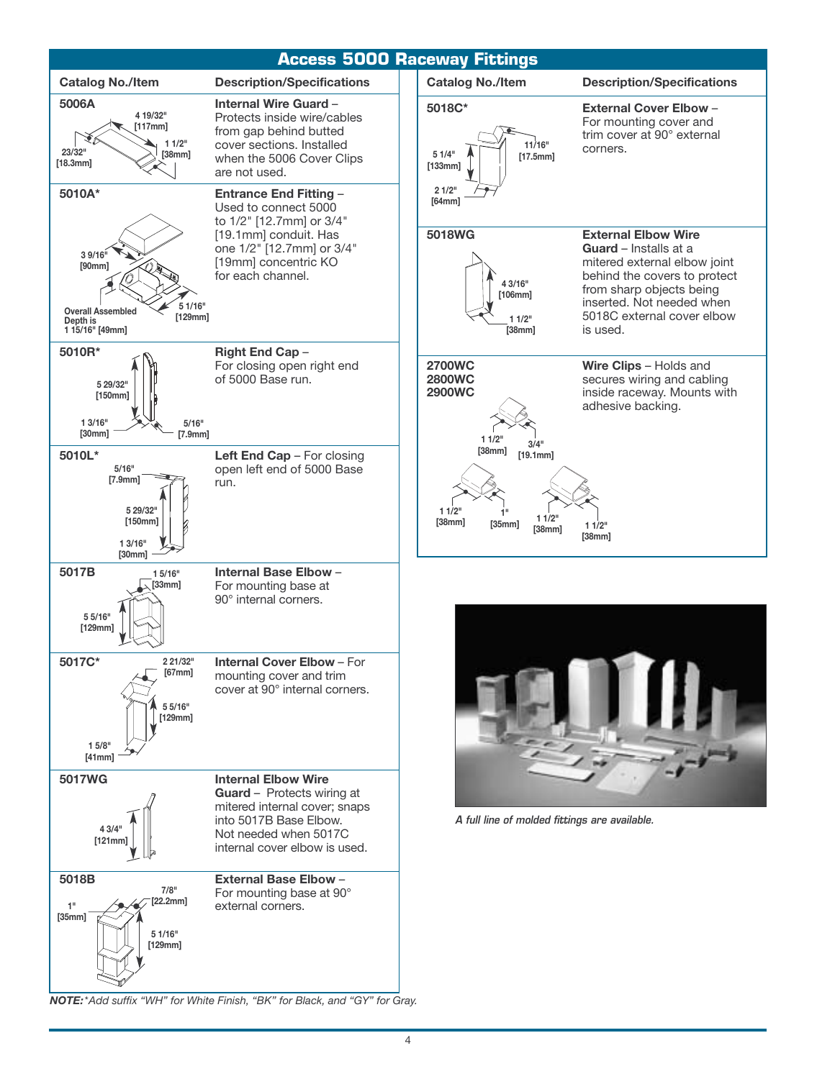

*NOTE:\*Add suffix "WH" for White Finish, "BK" for Black, and "GY" for Gray.*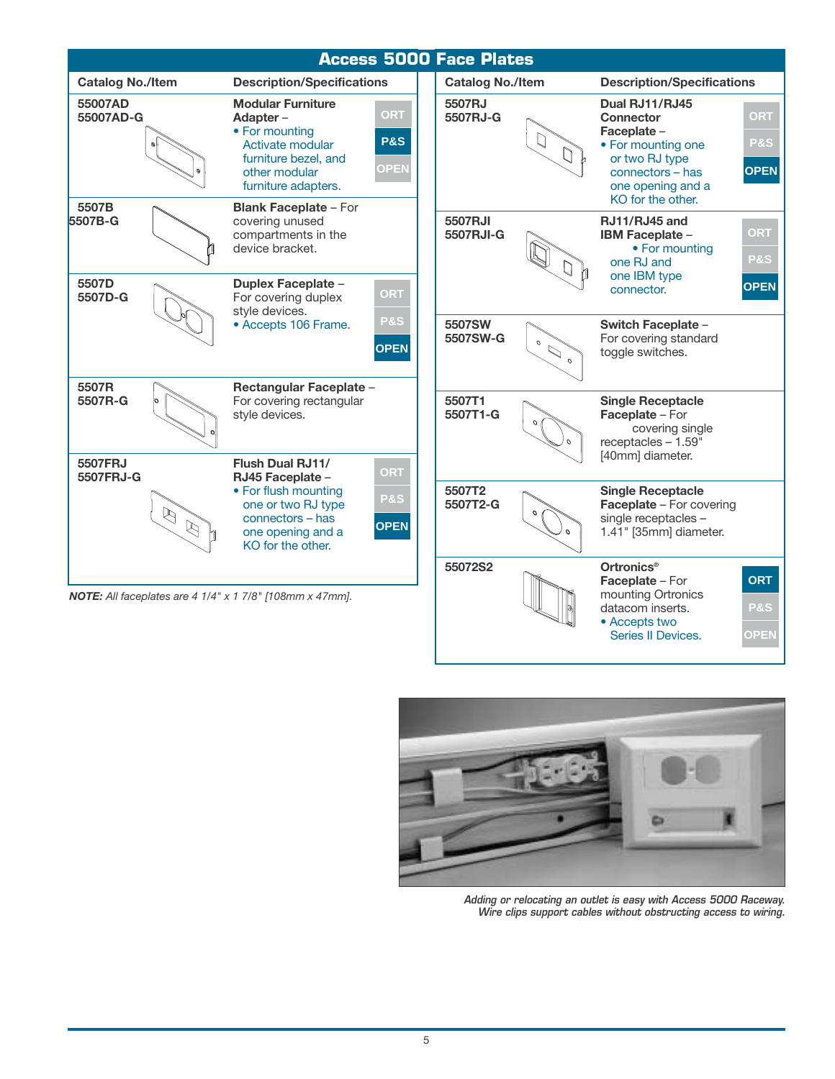| <b>Access 5000 Face Plates</b>                                                    |                                                                                                                                            |                                             |                         |                                |                                                                                                                                                         |                                             |  |  |
|-----------------------------------------------------------------------------------|--------------------------------------------------------------------------------------------------------------------------------------------|---------------------------------------------|-------------------------|--------------------------------|---------------------------------------------------------------------------------------------------------------------------------------------------------|---------------------------------------------|--|--|
| <b>Catalog No./Item</b>                                                           | <b>Description/Specifications</b>                                                                                                          |                                             | <b>Catalog No./Item</b> |                                | <b>Description/Specifications</b>                                                                                                                       |                                             |  |  |
| 55007AD<br>55007AD-G                                                              | <b>Modular Furniture</b><br>Adapter-<br>• For mounting<br>Activate modular<br>furniture bezel, and<br>other modular<br>furniture adapters. | <b>ORT</b><br><b>P&amp;S</b><br><b>OPEN</b> | 5507RJ<br>5507RJ-G      | $\Box$                         | Dual RJ11/RJ45<br><b>Connector</b><br>Faceplate -<br>• For mounting one<br>or two RJ type<br>connectors - has<br>one opening and a<br>KO for the other. | <b>ORT</b><br><b>P&amp;S</b><br><b>OPEN</b> |  |  |
| 5507B<br>5507B-G                                                                  | <b>Blank Faceplate - For</b><br>covering unused<br>compartments in the<br>device bracket.                                                  |                                             | 5507RJI<br>5507RJI-G    |                                | RJ11/RJ45 and<br>IBM Faceplate -<br>• For mounting<br>one RJ and<br>one IBM type                                                                        | ORT<br><b>P&amp;S</b>                       |  |  |
| 5507D<br>5507D-G                                                                  | Duplex Faceplate -<br>For covering duplex<br>style devices.<br>• Accepts 106 Frame.                                                        | ORT<br>P&S                                  | 5507SW<br>5507SW-G      | $\mathcal{O}$                  | connector.<br>Switch Faceplate -<br>For covering standard                                                                                               | <b>OPEN</b>                                 |  |  |
| 5507R<br>5507R-G                                                                  | Rectangular Faceplate -<br>For covering rectangular                                                                                        | <b>OPEN</b>                                 | 5507T1                  | $\mathcal{L}$<br>$\mathcal{O}$ | toggle switches.<br><b>Single Receptacle</b>                                                                                                            |                                             |  |  |
| 5507FRJ                                                                           | style devices.<br><b>Flush Dual RJ11/</b>                                                                                                  | ORT                                         | 5507T1-G                | $\Omega$                       | Faceplate - For<br>covering single<br>receptacles - 1.59"<br>[40mm] diameter.                                                                           |                                             |  |  |
| 5507FRJ-G<br>$\mathbb{Z}$<br>$\beta$                                              | RJ45 Faceplate -<br>• For flush mounting<br>one or two RJ type<br>connectors - has<br>one opening and a<br>KO for the other.               | <b>P&amp;S</b><br><b>OPEN</b>               | 5507T2<br>5507T2-G      | ο                              | <b>Single Receptacle</b><br><b>Faceplate - For covering</b><br>single receptacles -<br>1.41" [35mm] diameter.                                           |                                             |  |  |
| <b>NOTE:</b> All faceplates are $4 \frac{1}{4}$ x $1 \frac{7}{8}$ [108mm x 47mm]. |                                                                                                                                            |                                             | 55072S2                 |                                | <b>Ortronics<sup>®</sup></b><br>Faceplate - For<br>mounting Ortronics<br>datacom inserts.<br>• Accepts two                                              | <b>ORT</b><br><b>P&amp;S</b>                |  |  |



*Adding or relocating an outlet is easy with Access 5000 Raceway. Wire clips support cables without obstructing access to wiring.*

Series II Devices.

**OPEN**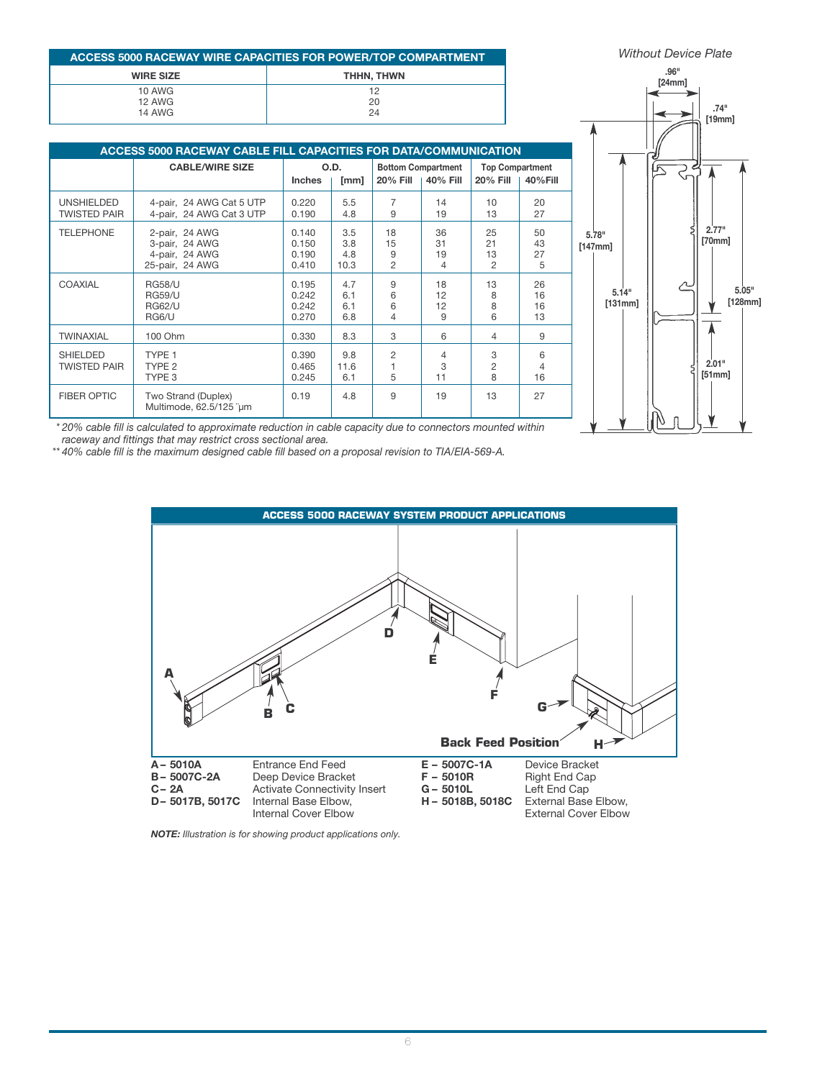|                                          | ACCESS 5000 RACEWAY WIRE CAPACITIES FOR POWER/TOP COMPARTMENT              |                                  |                           |                                 |                                       |                                  |                                   |                  | <b>Without Device Plate</b> |                 |
|------------------------------------------|----------------------------------------------------------------------------|----------------------------------|---------------------------|---------------------------------|---------------------------------------|----------------------------------|-----------------------------------|------------------|-----------------------------|-----------------|
|                                          | <b>WIRE SIZE</b><br>THHN, THWN<br>10 AWG<br>12<br>12 AWG<br>20             |                                  |                           |                                 |                                       |                                  | .96"<br>[24mm]                    |                  |                             |                 |
|                                          | 14 AWG<br>ACCESS 5000 RACEWAY CABLE FILL CAPACITIES FOR DATA/COMMUNICATION |                                  |                           | 24                              |                                       |                                  |                                   |                  |                             | .74"<br>[19mm]  |
|                                          | <b>CABLE/WIRE SIZE</b>                                                     | <b>Inches</b>                    | O.D.<br>[mm]              | <b>20% Fill</b>                 | <b>Bottom Compartment</b><br>40% Fill | <b>20% Fill</b>                  | <b>Top Compartment</b><br>40%Fill |                  |                             |                 |
| <b>UNSHIELDED</b><br><b>TWISTED PAIR</b> | 4-pair, 24 AWG Cat 5 UTP<br>4-pair, 24 AWG Cat 3 UTP                       | 0.220<br>0.190                   | 5.5<br>4.8                | 7<br>9                          | 14<br>19                              | 10<br>13                         | 20<br>27                          |                  |                             |                 |
| <b>TELEPHONE</b>                         | 2-pair, 24 AWG<br>3-pair, 24 AWG<br>4-pair, 24 AWG<br>25-pair, 24 AWG      | 0.140<br>0.150<br>0.190<br>0.410 | 3.5<br>3.8<br>4.8<br>10.3 | 18<br>15<br>9<br>$\overline{2}$ | 36<br>31<br>19<br>$\overline{4}$      | 25<br>21<br>13<br>$\overline{2}$ | 50<br>43<br>27<br>5               | 5.78"<br>[147mm] |                             | 2.77"<br>[70mm] |
| COAXIAL                                  | <b>RG58/U</b><br><b>RG59/U</b><br><b>RG62/U</b><br>RG6/U                   | 0.195<br>0.242<br>0.242<br>0.270 | 4.7<br>6.1<br>6.1<br>6.8  | 9<br>6<br>6<br>$\overline{4}$   | 18<br>12<br>12<br>9                   | 13<br>8<br>8<br>6                | 26<br>16<br>16<br>13              | 5.14"<br>[131mm] |                             | ľ1              |
| <b>TWINAXIAL</b>                         | 100 Ohm                                                                    | 0.330                            | 8.3                       | 3                               | 6                                     | 4                                | 9                                 |                  |                             |                 |
| <b>SHIELDED</b><br><b>TWISTED PAIR</b>   | TYPE 1<br>TYPE <sub>2</sub><br>TYPE 3                                      | 0.390<br>0.465<br>0.245          | 9.8<br>11.6<br>6.1        | $\overline{c}$<br>5             | Δ<br>3<br>11                          | 3<br>$\overline{2}$<br>8         | 6<br>$\overline{4}$<br>16         |                  |                             | 2.01"<br>[51mm] |
| <b>FIBER OPTIC</b>                       | Two Strand (Duplex)<br>Multimode, 62.5/125 "um                             | 0.19                             | 4.8                       | 9                               | 19                                    | 13                               | 27                                |                  | W<br>n.                     |                 |



*\* 20% cable fill is calculated to approximate reduction in cable capacity due to connectors mounted within raceway and fittings that may restrict cross sectional area.*

*\*\* 40% cable fill is the maximum designed cable fill based on a proposal revision to TIA/EIA-569-A.*



*NOTE: Illustration is for showing product applications only.*